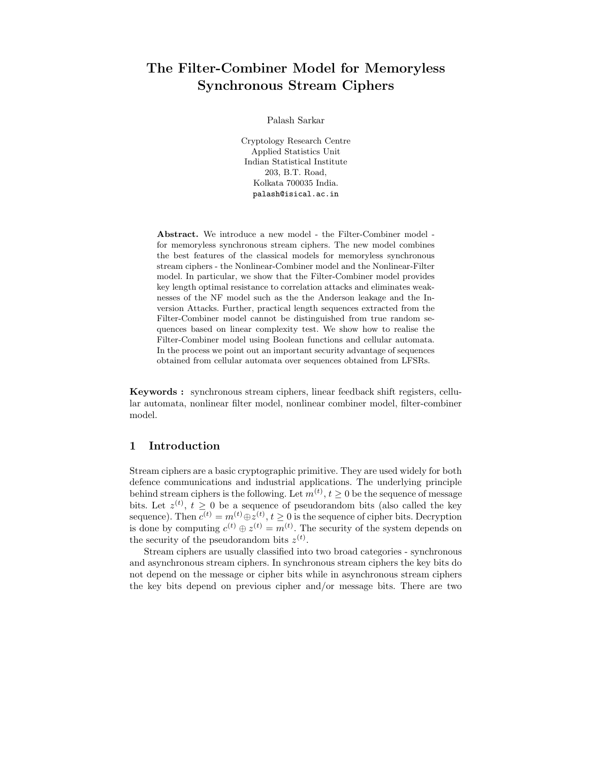# The Filter-Combiner Model for Memoryless Synchronous Stream Ciphers

Palash Sarkar

Cryptology Research Centre Applied Statistics Unit Indian Statistical Institute 203, B.T. Road, Kolkata 700035 India. palash@isical.ac.in

Abstract. We introduce a new model - the Filter-Combiner model for memoryless synchronous stream ciphers. The new model combines the best features of the classical models for memoryless synchronous stream ciphers - the Nonlinear-Combiner model and the Nonlinear-Filter model. In particular, we show that the Filter-Combiner model provides key length optimal resistance to correlation attacks and eliminates weaknesses of the NF model such as the the Anderson leakage and the Inversion Attacks. Further, practical length sequences extracted from the Filter-Combiner model cannot be distinguished from true random sequences based on linear complexity test. We show how to realise the Filter-Combiner model using Boolean functions and cellular automata. In the process we point out an important security advantage of sequences obtained from cellular automata over sequences obtained from LFSRs.

Keywords : synchronous stream ciphers, linear feedback shift registers, cellular automata, nonlinear filter model, nonlinear combiner model, filter-combiner model.

# 1 Introduction

Stream ciphers are a basic cryptographic primitive. They are used widely for both defence communications and industrial applications. The underlying principle behind stream ciphers is the following. Let  $m^{(t)}$ ,  $t \geq 0$  be the sequence of message bits. Let  $z^{(t)}$ ,  $t \geq 0$  be a sequence of pseudorandom bits (also called the key sequence). Then  $c^{(t)} = m^{(t)} \oplus z^{(t)}, t \geq 0$  is the sequence of cipher bits. Decryption is done by computing  $c^{(t)} \oplus z^{(t)} = m^{(t)}$ . The security of the system depends on the security of the pseudorandom bits  $z^{(t)}$ .

Stream ciphers are usually classified into two broad categories - synchronous and asynchronous stream ciphers. In synchronous stream ciphers the key bits do not depend on the message or cipher bits while in asynchronous stream ciphers the key bits depend on previous cipher and/or message bits. There are two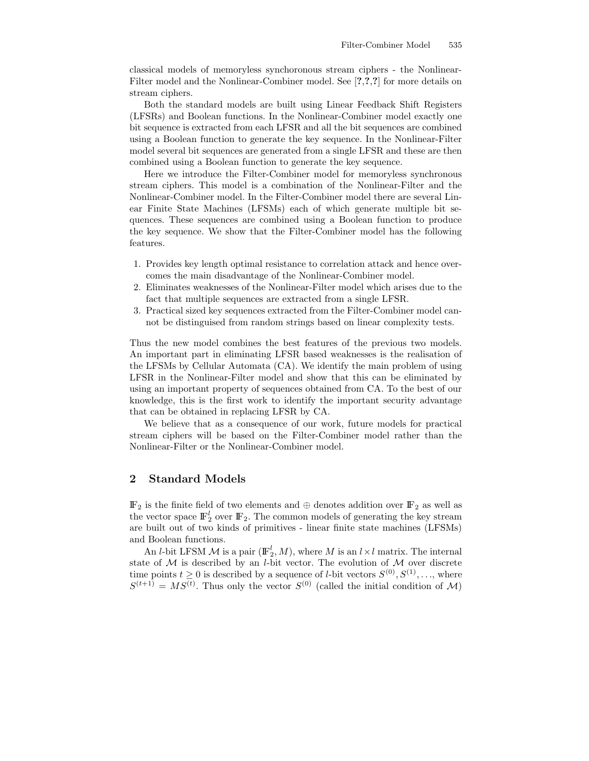classical models of memoryless synchoronous stream ciphers - the Nonlinear-Filter model and the Nonlinear-Combiner model. See [?,?,?] for more details on stream ciphers.

Both the standard models are built using Linear Feedback Shift Registers (LFSRs) and Boolean functions. In the Nonlinear-Combiner model exactly one bit sequence is extracted from each LFSR and all the bit sequences are combined using a Boolean function to generate the key sequence. In the Nonlinear-Filter model several bit sequences are generated from a single LFSR and these are then combined using a Boolean function to generate the key sequence.

Here we introduce the Filter-Combiner model for memoryless synchronous stream ciphers. This model is a combination of the Nonlinear-Filter and the Nonlinear-Combiner model. In the Filter-Combiner model there are several Linear Finite State Machines (LFSMs) each of which generate multiple bit sequences. These sequences are combined using a Boolean function to produce the key sequence. We show that the Filter-Combiner model has the following features.

- 1. Provides key length optimal resistance to correlation attack and hence overcomes the main disadvantage of the Nonlinear-Combiner model.
- 2. Eliminates weaknesses of the Nonlinear-Filter model which arises due to the fact that multiple sequences are extracted from a single LFSR.
- 3. Practical sized key sequences extracted from the Filter-Combiner model cannot be distinguised from random strings based on linear complexity tests.

Thus the new model combines the best features of the previous two models. An important part in eliminating LFSR based weaknesses is the realisation of the LFSMs by Cellular Automata (CA). We identify the main problem of using LFSR in the Nonlinear-Filter model and show that this can be eliminated by using an important property of sequences obtained from CA. To the best of our knowledge, this is the first work to identify the important security advantage that can be obtained in replacing LFSR by CA.

We believe that as a consequence of our work, future models for practical stream ciphers will be based on the Filter-Combiner model rather than the Nonlinear-Filter or the Nonlinear-Combiner model.

# 2 Standard Models

 $\mathbb{F}_2$  is the finite field of two elements and  $\oplus$  denotes addition over  $\mathbb{F}_2$  as well as the vector space  $\mathbb{F}_2^l$  over  $\mathbb{F}_2$ . The common models of generating the key stream are built out of two kinds of primitives - linear finite state machines (LFSMs) and Boolean functions.

An *l*-bit LFSM  $\mathcal M$  is a pair  $(\mathbb{F}_2^l, M)$ , where  $M$  is an  $l \times l$  matrix. The internal state of  $M$  is described by an *l*-bit vector. The evolution of  $M$  over discrete time points  $t \geq 0$  is described by a sequence of *l*-bit vectors  $S^{(0)}, S^{(1)}, \ldots$ , where  $S^{(t+1)} = MS^{(t)}$ . Thus only the vector  $S^{(0)}$  (called the initial condition of M)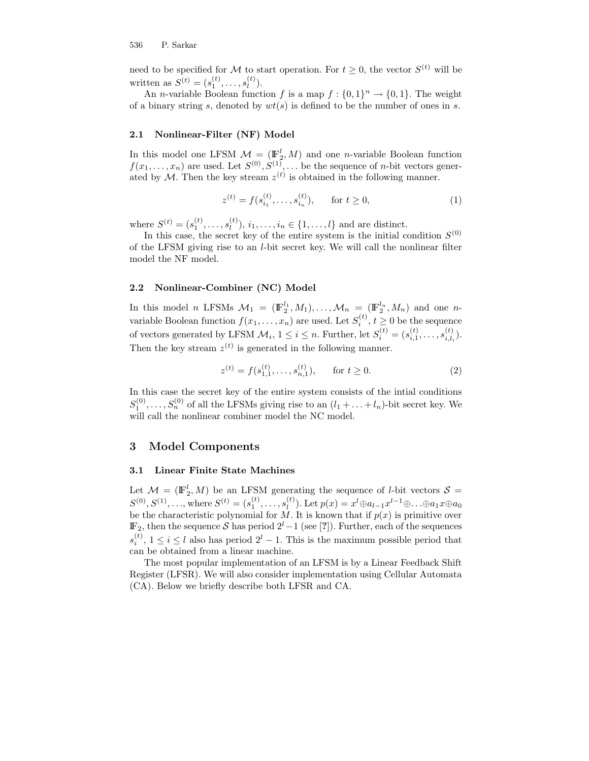need to be specified for M to start operation. For  $t \geq 0$ , the vector  $S^{(t)}$  will be written as  $S^{(t)} = (s_1^{(t)}, \dots, s_l^{(t)})$  $\binom{(\iota)}{l}$ .

An *n*-variable Boolean function f is a map  $f: \{0,1\}^n \to \{0,1\}$ . The weight of a binary string s, denoted by  $wt(s)$  is defined to be the number of ones in s.

#### 2.1 Nonlinear-Filter (NF) Model

In this model one LFSM  $\mathcal{M} = (\mathbb{F}_2^l, M)$  and one *n*-variable Boolean function  $f(x_1, \ldots, x_n)$  are used. Let  $S^{(0)}, S^{(1)}, \ldots$  be the sequence of *n*-bit vectors generated by M. Then the key stream  $z^{(t)}$  is obtained in the following manner.

$$
z^{(t)} = f(s_{i_1}^{(t)}, \dots, s_{i_n}^{(t)}), \quad \text{for } t \ge 0,
$$
 (1)

where  $S^{(t)} = (s_1^{(t)}, \ldots, s_l^{(t)})$  $\{u^{(t)}_l\}, i_1, \ldots, i_n \in \{1, \ldots, l\}$  and are distinct.

In this case, the secret key of the entire system is the initial condition  $S^{(0)}$ of the LFSM giving rise to an l-bit secret key. We will call the nonlinear filter model the NF model.

#### 2.2 Nonlinear-Combiner (NC) Model

In this model *n* LFSMs  $\mathcal{M}_1 = (\mathbb{F}_2^{l_1}, M_1), \ldots, \mathcal{M}_n = (\mathbb{F}_2^{l_n}, M_n)$  and one *n*variable Boolean function  $f(x_1, \ldots, x_n)$  are used. Let  $S_i^{(t)}$ ,  $t \geq 0$  be the sequence of vectors generated by LFSM  $\mathcal{M}_i$ ,  $1 \leq i \leq n$ . Further, let  $S_i^{(t)} = (s_{i,1}^{(t)}, \ldots, s_{i,l_i}^{(t)})$  $\binom{U}{i,l_i}$ . Then the key stream  $z^{(t)}$  is generated in the following manner.

$$
z^{(t)} = f(s_{1,1}^{(t)}, \dots, s_{n,1}^{(t)}), \quad \text{for } t \ge 0.
$$
 (2)

In this case the secret key of the entire system consists of the intial conditions  $S_1^{(0)}, \ldots, S_n^{(0)}$  of all the LFSMs giving rise to an  $(l_1 + \ldots + l_n)$ -bit secret key. We will call the nonlinear combiner model the NC model.

### 3 Model Components

#### 3.1 Linear Finite State Machines

Let  $\mathcal{M} = (\mathbb{F}_2^l, M)$  be an LFSM generating the sequence of *l*-bit vectors  $\mathcal{S} =$  $S^{(0)}, S^{(1)}, \ldots$ , where  $S^{(t)} = (s_1^{(t)}, \ldots, s_l^{(t)})$  $\mathcal{L}_l^{(t)}$ ). Let  $p(x) = x^l \oplus a_{l-1} x^{l-1} \oplus \ldots \oplus a_1 x \oplus a_0$ be the characteristic polynomial for  $M$ . It is known that if  $p(x)$  is primitive over  $\mathbb{F}_2$ , then the sequence S has period  $2^l-1$  (see [?]). Further, each of the sequences  $s_i^{(t)}$ ,  $1 \le i \le l$  also has period  $2^l - 1$ . This is the maximum possible period that can be obtained from a linear machine.

The most popular implementation of an LFSM is by a Linear Feedback Shift Register (LFSR). We will also consider implementation using Cellular Automata (CA). Below we briefly describe both LFSR and CA.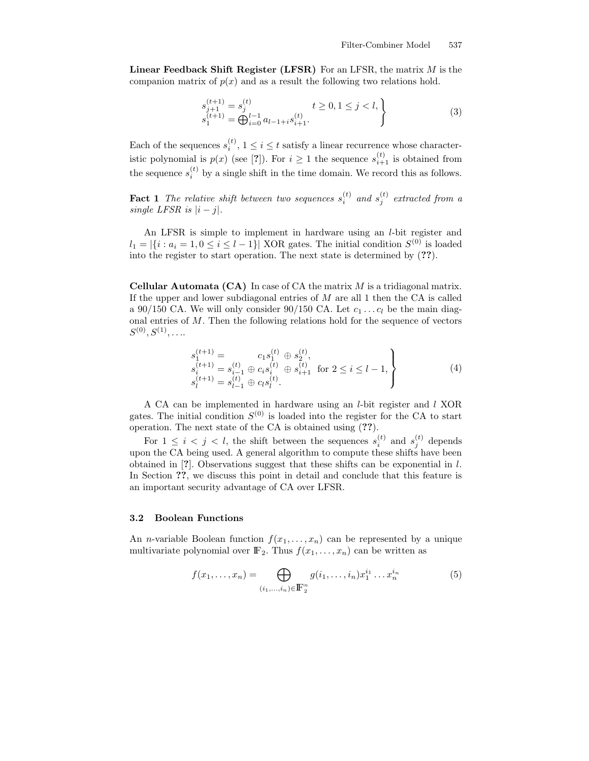**Linear Feedback Shift Register (LFSR)** For an LFSR, the matrix  $M$  is the companion matrix of  $p(x)$  and as a result the following two relations hold.

$$
s_{j+1}^{(t+1)} = s_j^{(t)} \t t \ge 0, 1 \le j < l,
$$
  
\n
$$
s_1^{(t+1)} = \bigoplus_{i=0}^{l-1} a_{l-1+i} s_{i+1}^{(t)}.
$$
\n(3)

Each of the sequences  $s_i^{(t)}$ ,  $1 \le i \le t$  satisfy a linear recurrence whose characteristic polynomial is  $p(x)$  (see [?]). For  $i \geq 1$  the sequence  $s_{i+1}^{(t)}$  is obtained from the sequence  $s_i^{(t)}$  by a single shift in the time domain. We record this as follows.

**Fact 1** The relative shift between two sequences  $s_i^{(t)}$  and  $s_j^{(t)}$  extracted from a single LFSR is  $|i - j|$ .

An LFSR is simple to implement in hardware using an l-bit register and  $l_1 = |\{i : a_i = 1, 0 \le i \le l-1\}|$  XOR gates. The initial condition  $S^{(0)}$  is loaded into the register to start operation. The next state is determined by (??).

**Cellular Automata (CA)** In case of CA the matrix  $M$  is a tridiagonal matrix. If the upper and lower subdiagonal entries of  $M$  are all 1 then the CA is called a 90/150 CA. We will only consider 90/150 CA. Let  $c_1 \ldots c_l$  be the main diagonal entries of M. Then the following relations hold for the sequence of vectors  $S^{(0)},S^{(1)},\ldots$ 

$$
s_1^{(t+1)} = c_1 s_1^{(t)} \oplus s_2^{(t)}, s_i^{(t+1)} = s_{i-1}^{(t)} \oplus c_i s_i^{(t)} \oplus s_{i+1}^{(t)} \text{ for } 2 \le i \le l-1, s_l^{(t+1)} = s_{l-1}^{(t)} \oplus c_l s_l^{(t)}.
$$
 (4)

A CA can be implemented in hardware using an l-bit register and l XOR gates. The initial condition  $S^{(0)}$  is loaded into the register for the CA to start operation. The next state of the CA is obtained using (??).

For  $1 \leq i \leq j \leq l$ , the shift between the sequences  $s_i^{(t)}$  and  $s_j^{(t)}$  depends upon the CA being used. A general algorithm to compute these shifts have been obtained in  $[?]$ . Observations suggest that these shifts can be exponential in l. In Section ??, we discuss this point in detail and conclude that this feature is an important security advantage of CA over LFSR.

#### 3.2 Boolean Functions

An *n*-variable Boolean function  $f(x_1, \ldots, x_n)$  can be represented by a unique multivariate polynomial over  $\mathbb{F}_2$ . Thus  $f(x_1, \ldots, x_n)$  can be written as

$$
f(x_1,...,x_n) = \bigoplus_{(i_1,...,i_n)\in \mathbb{F}_2^n} g(i_1,...,i_n)x_1^{i_1}...x_n^{i_n}
$$
 (5)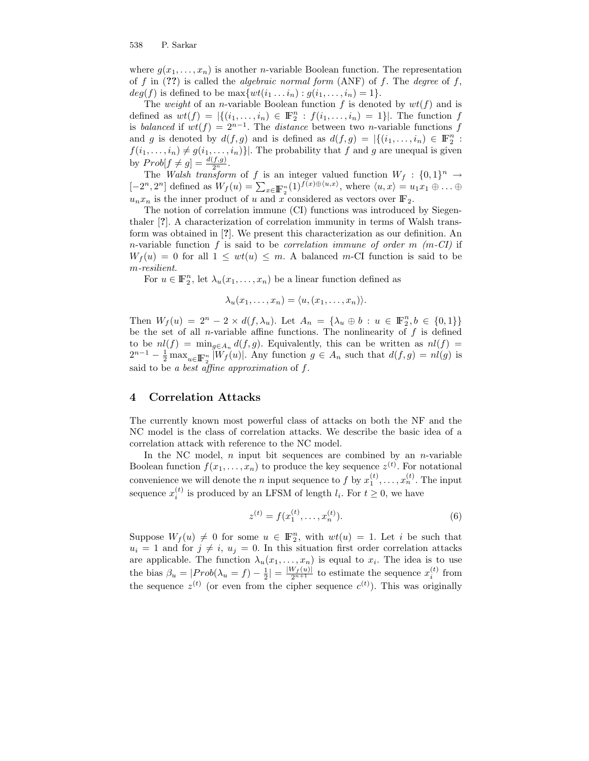where  $g(x_1, \ldots, x_n)$  is another *n*-variable Boolean function. The representation of f in  $(??)$  is called the *algebraic normal form*  $(ANF)$  of f. The *degree* of f,  $deg(f)$  is defined to be  $\max \{wt(i_1 \dots i_n) : g(i_1, \dots, i_n) = 1\}.$ 

The weight of an n-variable Boolean function f is denoted by  $wt(f)$  and is defined as  $wt(f) = |\{(i_1, ..., i_n) \in \mathbb{F}_2^n : f(i_1, ..., i_n) = 1\}|$ . The function f is balanced if  $wt(f) = 2^{n-1}$ . The distance between two n-variable functions f and g is denoted by  $d(f,g)$  and is defined as  $d(f,g) = |\{(i_1,\ldots,i_n) \in \mathbb{F}_2^n :$  $f(i_1, \ldots, i_n) \neq g(i_1, \ldots, i_n)$ . The probability that f and g are unequal is given by  $Prob[f \neq g] = \frac{d(f,g)}{2^n}$ .

The Walsh transform of f is an integer valued function  $W_f: \{0,1\}^n \to$  $[-2^n, 2^n]$  defined as  $W_f(u) = \sum_{x \in \mathbb{F}_2^n} (1)^{f(x) \oplus \langle u, x \rangle}$ , where  $\langle u, x \rangle = u_1 x_1 \oplus \ldots \oplus$  $u_nx_n$  is the inner product of u and x considered as vectors over  $\mathbb{F}_2$ .

The notion of correlation immune (CI) functions was introduced by Siegenthaler [?]. A characterization of correlation immunity in terms of Walsh transform was obtained in [?]. We present this characterization as our definition. An n-variable function  $f$  is said to be *correlation immune of order m* (m-CI) if  $W_f(u) = 0$  for all  $1 \leq wt(u) \leq m$ . A balanced m-CI function is said to be m-resilient.

For  $u \in \mathbb{F}_2^n$ , let  $\lambda_u(x_1, \ldots, x_n)$  be a linear function defined as

$$
\lambda_u(x_1,\ldots,x_n)=\langle u,(x_1,\ldots,x_n)\rangle.
$$

Then  $W_f(u) = 2^n - 2 \times d(f, \lambda_u)$ . Let  $A_n = {\lambda_u \oplus b : u \in \mathbb{F}_2^n, b \in \{0, 1\}}$ be the set of all *n*-variable affine functions. The nonlinearity of  $f$  is defined to be  $nl(f) = \min_{g \in A_n} d(f, g)$ . Equivalently, this can be written as  $nl(f)$  $2^{n-1} - \frac{1}{2} \max_{u \in \mathbb{F}_2^n} |W_f(u)|$ . Any function  $g \in A_n$  such that  $d(f,g) = nl(g)$  is said to be a best affine approximation of  $f$ .

## 4 Correlation Attacks

The currently known most powerful class of attacks on both the NF and the NC model is the class of correlation attacks. We describe the basic idea of a correlation attack with reference to the NC model.

In the NC model,  $n$  input bit sequences are combined by an  $n$ -variable Boolean function  $f(x_1, \ldots, x_n)$  to produce the key sequence  $z^{(t)}$ . For notational convenience we will denote the *n* input sequence to *f* by  $x_1^{(t)}, \ldots, x_n^{(t)}$ . The input sequence  $x_i^{(t)}$  is produced by an LFSM of length  $l_i$ . For  $t \geq 0$ , we have

$$
z^{(t)} = f(x_1^{(t)}, \dots, x_n^{(t)}).
$$
 (6)

Suppose  $W_f(u) \neq 0$  for some  $u \in \mathbb{F}_2^n$ , with  $wt(u) = 1$ . Let i be such that  $u_i = 1$  and for  $j \neq i$ ,  $u_j = 0$ . In this situation first order correlation attacks are applicable. The function  $\lambda_u(x_1,\ldots,x_n)$  is equal to  $x_i$ . The idea is to use the bias  $\beta_u = |Prob(\lambda_u = f) - \frac{1}{2}| = \frac{|W_f(u)|}{2^{n+1}}$  to estimate the sequence  $x_i^{(t)}$  from the sequence  $z^{(t)}$  (or even from the cipher sequence  $c^{(t)}$ ). This was originally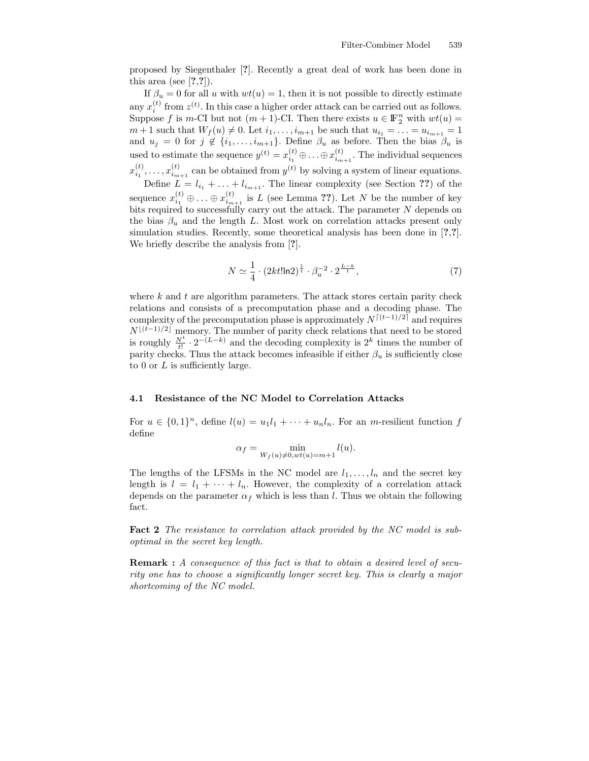proposed by Siegenthaler [?]. Recently a great deal of work has been done in this area (see  $[?,?]$ ).

If  $\beta_u = 0$  for all u with  $wt(u) = 1$ , then it is not possible to directly estimate any  $x_i^{(t)}$  from  $z^{(t)}$ . In this case a higher order attack can be carried out as follows. Suppose f is m-CI but not  $(m + 1)$ -CI. Then there exists  $u \in \mathbb{F}_2^n$  with  $wt(u) =$  $m+1$  such that  $W_f(u) \neq 0$ . Let  $i_1, \ldots, i_{m+1}$  be such that  $u_{i_1} = \ldots = u_{i_{m+1}} = 1$ and  $u_j = 0$  for  $j \notin \{i_1, \ldots, i_{m+1}\}$ . Define  $\beta_u$  as before. Then the bias  $\beta_u$  is used to estimate the sequence  $y^{(t)} = x_{i_1}^{(t)} \oplus \ldots \oplus x_{i_{m+1}}^{(t)}$ . The individual sequences  $x_{i_1}^{(t)}, \ldots, x_{i_{m+1}}^{(t)}$  can be obtained from  $y^{(t)}$  by solving a system of linear equations.

Define  $L = l_{i_1} + \ldots + l_{i_{m+1}}$ . The linear complexity (see Section ??) of the sequence  $x_{i_1}^{(t)} \oplus \ldots \oplus x_{i_{m+1}}^{(t)}$  is L (see Lemma ??). Let N be the number of key bits required to successfully carry out the attack. The parameter  $N$  depends on the bias  $\beta_u$  and the length L. Most work on correlation attacks present only simulation studies. Recently, some theoretical analysis has been done in [?,?]. We briefly describe the analysis from [?].

$$
N \simeq \frac{1}{4} \cdot (2kt! \ln 2)^{\frac{1}{t}} \cdot \beta_u^{-2} \cdot 2^{\frac{L-k}{t}},\tag{7}
$$

where  $k$  and  $t$  are algorithm parameters. The attack stores certain parity check relations and consists of a precomputation phase and a decoding phase. The complexity of the precomputation phase is approximately  $N^{[(t-1)/2]}$  and requires  $N^{\lfloor(t-1)/2\rfloor}$  memory. The number of parity check relations that need to be stored is roughly  $\frac{N^t}{t!} \cdot 2^{-(L-k)}$  and the decoding complexity is  $2^k$  times the number of parity checks. Thus the attack becomes infeasible if either  $\beta_u$  is sufficiently close to 0 or  $L$  is sufficiently large.

#### 4.1 Resistance of the NC Model to Correlation Attacks

For  $u \in \{0,1\}^n$ , define  $l(u) = u_1 l_1 + \cdots + u_n l_n$ . For an *m*-resilient function f define

$$
\alpha_f = \min_{W_f(u) \neq 0, wt(u) = m+1} l(u).
$$

The lengths of the LFSMs in the NC model are  $l_1, \ldots, l_n$  and the secret key length is  $l = l_1 + \cdots + l_n$ . However, the complexity of a correlation attack depends on the parameter  $\alpha_f$  which is less than l. Thus we obtain the following fact.

Fact 2 The resistance to correlation attack provided by the NC model is suboptimal in the secret key length.

Remark : A consequence of this fact is that to obtain a desired level of security one has to choose a significantly longer secret key. This is clearly a major shortcoming of the NC model.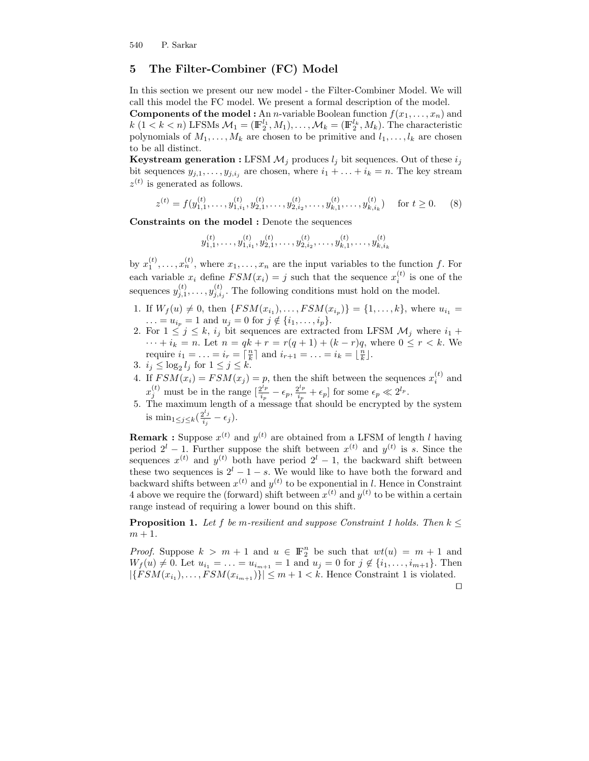# 5 The Filter-Combiner (FC) Model

In this section we present our new model - the Filter-Combiner Model. We will call this model the FC model. We present a formal description of the model.

**Components of the model :** An *n*-variable Boolean function  $f(x_1, \ldots, x_n)$  and  $k$  (1 < k < n) LFSMs  $\mathcal{M}_1 = (\mathbb{F}_2^{l_1}, M_1), \dots, \mathcal{M}_k = (\mathbb{F}_2^{l_k}, M_k)$ . The characteristic polynomials of  $M_1, \ldots, M_k$  are chosen to be primitive and  $l_1, \ldots, l_k$  are chosen to be all distinct.

**Keystream generation :** LFSM  $M_j$  produces  $l_j$  bit sequences. Out of these  $i_j$ bit sequences  $y_{j,1}, \ldots, y_{j,i_j}$  are chosen, where  $i_1 + \ldots + i_k = n$ . The key stream  $z^{(t)}$  is generated as follows.

$$
z^{(t)} = f(y_{1,1}^{(t)}, \dots, y_{1,i_1}^{(t)}, y_{2,1}^{(t)}, \dots, y_{2,i_2}^{(t)}, \dots, y_{k,1}^{(t)}, \dots, y_{k,i_k}^{(t)}) \quad \text{ for } t \ge 0.
$$
 (8)

Constraints on the model : Denote the sequences

$$
y_{1,1}^{(t)}, \ldots, y_{1,i_1}^{(t)}, y_{2,1}^{(t)}, \ldots, y_{2,i_2}^{(t)}, \ldots, y_{k,1}^{(t)}, \ldots, y_{k,i_k}^{(t)}
$$

by  $x_1^{(t)}, \ldots, x_n^{(t)}$ , where  $x_1, \ldots, x_n$  are the input variables to the function f. For each variable  $x_i$  define  $FSM(x_i) = j$  such that the sequence  $x_i^{(t)}$  is one of the sequences  $y_{j,1}^{(t)}, \ldots, y_{j,i_j}^{(t)}$ . The following conditions must hold on the model.

- 1. If  $W_f(u) \neq 0$ , then  $\{FSM(x_{i_1}), \ldots, FSM(x_{i_p})\} = \{1, \ldots, k\}$ , where  $u_{i_1} =$  $\dots = u_{i_p} = 1$  and  $u_j = 0$  for  $j \notin \{i_1, \dots, i_p\}.$
- 2. For  $1 \leq j \leq k$ ,  $i_j$  bit sequences are extracted from LFSM  $\mathcal{M}_j$  where  $i_1 +$  $\cdots + i_k = n$ . Let  $n = qk + r = r(q + 1) + (k - r)q$ , where  $0 \le r < k$ . We require  $i_1 = \ldots = i_r = \lceil \frac{n}{k} \rceil$  and  $i_{r+1} = \ldots = i_k = \lfloor \frac{n}{k} \rfloor$ .
- 3.  $i_j \leq \log_2 l_j$  for  $1 \leq j \leq k$ .
- 4. If  $FSM(x_i) = FSM(x_j) = p$ , then the shift between the sequences  $x_i^{(t)}$  and  $x_j^{(t)}$  must be in the range  $\left[\frac{2^{l_p}}{i_p}\right]$  $\frac{2^{l_p}}{i_p}-\epsilon_p, \frac{2^{l_p}}{i_p}$  $\frac{2^{l_p}}{i_p} + \epsilon_p$  for some  $\epsilon_p \ll 2^{l_p}$ .
- 5. The maximum length of a message that should be encrypted by the system is min<sub>1≤j≤k</sub>( $\frac{2^{l_j}}{i_j}$  $\frac{q\cdot j}{i_j}-\epsilon_j).$

**Remark**: Suppose  $x^{(t)}$  and  $y^{(t)}$  are obtained from a LFSM of length l having period  $2^l - 1$ . Further suppose the shift between  $x^{(t)}$  and  $y^{(t)}$  is s. Since the sequences  $x^{(t)}$  and  $y^{(t)}$  both have period  $2^l - 1$ , the backward shift between these two sequences is  $2^l - 1 - s$ . We would like to have both the forward and backward shifts between  $x^{(t)}$  and  $y^{(t)}$  to be exponential in l. Hence in Constraint 4 above we require the (forward) shift between  $x^{(t)}$  and  $y^{(t)}$  to be within a certain range instead of requiring a lower bound on this shift.

**Proposition 1.** Let f be m-resilient and suppose Constraint 1 holds. Then  $k \leq$  $m + 1$ .

*Proof.* Suppose  $k > m + 1$  and  $u \in \mathbb{F}_2^n$  be such that  $wt(u) = m + 1$  and  $W_f(u) \neq 0$ . Let  $u_{i_1} = \ldots = u_{i_{m+1}} = 1$  and  $u_j = 0$  for  $j \notin \{i_1, \ldots, i_{m+1}\}$ . Then  $|\{FSM(x_{i_1}), \ldots, FSM(x_{i_{m+1}})\}| \leq m+1 < k$ . Hence Constraint 1 is violated.

 $\Box$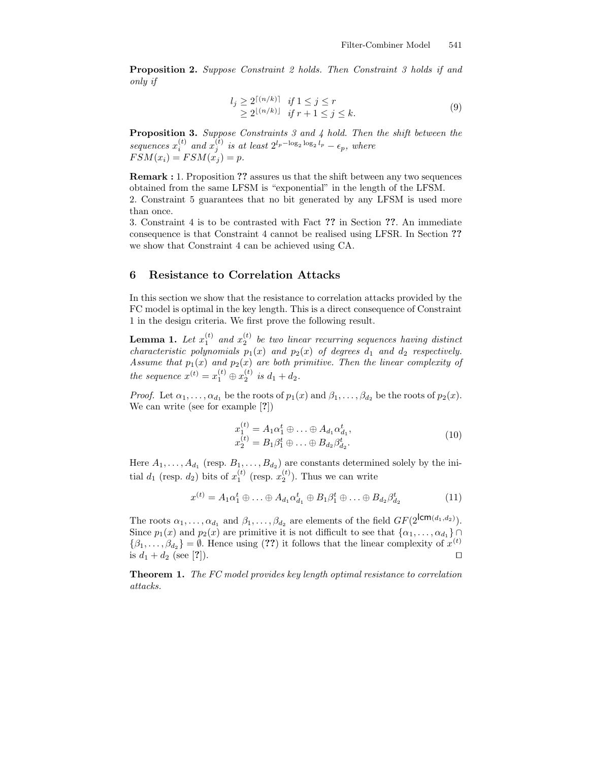Proposition 2. Suppose Constraint 2 holds. Then Constraint 3 holds if and only if

$$
l_j \ge 2^{\lceil (n/k)\rceil} \quad \text{if } 1 \le j \le r
$$
  
\n
$$
\ge 2^{\lfloor (n/k)\rfloor} \quad \text{if } r+1 \le j \le k.
$$
 (9)

Proposition 3. Suppose Constraints 3 and 4 hold. Then the shift between the sequences  $x_i^{(t)}$  and  $x_j^{(t)}$  is at least  $2^{l_p - \log_2 \log_2 l_p} - \epsilon_p$ , where  $FSM(x_i) = FSM(x_j) = p.$ 

Remark : 1. Proposition ?? assures us that the shift between any two sequences obtained from the same LFSM is "exponential" in the length of the LFSM. 2. Constraint 5 guarantees that no bit generated by any LFSM is used more than once.

3. Constraint 4 is to be contrasted with Fact ?? in Section ??. An immediate consequence is that Constraint 4 cannot be realised using LFSR. In Section ?? we show that Constraint 4 can be achieved using CA.

# 6 Resistance to Correlation Attacks

In this section we show that the resistance to correlation attacks provided by the FC model is optimal in the key length. This is a direct consequence of Constraint 1 in the design criteria. We first prove the following result.

**Lemma 1.** Let  $x_1^{(t)}$  and  $x_2^{(t)}$  be two linear recurring sequences having distinct characteristic polynomials  $p_1(x)$  and  $p_2(x)$  of degrees  $d_1$  and  $d_2$  respectively. Assume that  $p_1(x)$  and  $p_2(x)$  are both primitive. Then the linear complexity of the sequence  $x^{(t)} = x_1^{(t)} \oplus x_2^{(t)}$  is  $d_1 + d_2$ .

*Proof.* Let  $\alpha_1, \ldots, \alpha_{d_1}$  be the roots of  $p_1(x)$  and  $\beta_1, \ldots, \beta_{d_2}$  be the roots of  $p_2(x)$ . We can write (see for example [?])

$$
x_1^{(t)} = A_1 \alpha_1^t \oplus \ldots \oplus A_{d_1} \alpha_{d_1}^t,
$$
  
\n
$$
x_2^{(t)} = B_1 \beta_1^t \oplus \ldots \oplus B_{d_2} \beta_{d_2}^t.
$$
\n(10)

Here  $A_1, \ldots, A_{d_1}$  (resp.  $B_1, \ldots, B_{d_2}$ ) are constants determined solely by the initial  $d_1$  (resp.  $d_2$ ) bits of  $x_1^{(t)}$  (resp.  $x_2^{(t)}$ ). Thus we can write

$$
x^{(t)} = A_1 \alpha_1^t \oplus \ldots \oplus A_{d_1} \alpha_{d_1}^t \oplus B_1 \beta_1^t \oplus \ldots \oplus B_{d_2} \beta_{d_2}^t \tag{11}
$$

The roots  $\alpha_1, \ldots, \alpha_{d_1}$  and  $\beta_1, \ldots, \beta_{d_2}$  are elements of the field  $GF(2^{\mathsf{lcm}(d_1, d_2)})$ . Since  $p_1(x)$  and  $p_2(x)$  are primitive it is not difficult to see that  $\{\alpha_1, \ldots, \alpha_{d_1}\}\cap$  $\{\beta_1,\ldots,\beta_{d_2}\}=\emptyset$ . Hence using (??) it follows that the linear complexity of  $x^{(t)}$ is  $d_1 + d_2$  (see [?]).

Theorem 1. The FC model provides key length optimal resistance to correlation attacks.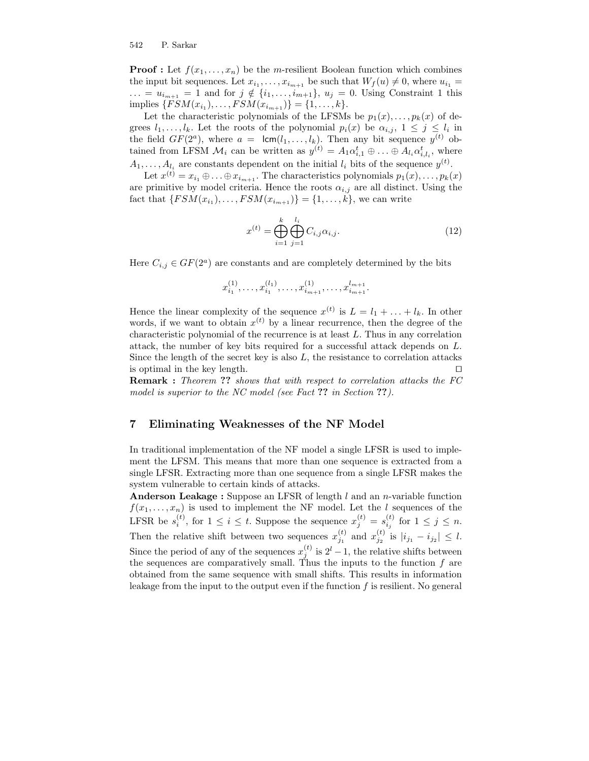**Proof :** Let  $f(x_1, \ldots, x_n)$  be the *m*-resilient Boolean function which combines the input bit sequences. Let  $x_{i_1}, \ldots, x_{i_{m+1}}$  be such that  $W_f(u) \neq 0$ , where  $u_{i_1} =$  $\ldots = u_{i_{m+1}} = 1$  and for  $j \notin \{i_1, \ldots, i_{m+1}\}, u_j = 0$ . Using Constraint 1 this implies  $\{FSM(x_{i_1}), \ldots, FSM(x_{i_{m+1}})\} = \{1, \ldots, k\}.$ 

Let the characteristic polynomials of the LFSMs be  $p_1(x), \ldots, p_k(x)$  of degrees  $l_1, \ldots, l_k$ . Let the roots of the polynomial  $p_i(x)$  be  $\alpha_{i,j}, 1 \leq j \leq l_i$  in the field  $GF(2^a)$ , where  $a = \text{lcm}(l_1, \ldots, l_k)$ . Then any bit sequence  $y^{(t)}$  obtained from LFSM  $\mathcal{M}_i$  can be written as  $y^{(t)} = A_1 \alpha_{i,1}^t \oplus \ldots \oplus A_{l_i} \alpha_{i,l_i}^t$ , where  $A_1, \ldots, A_{l_i}$  are constants dependent on the initial  $l_i$  bits of the sequence  $y^{(t)}$ .

Let  $x^{(t)} = x_{i_1} \oplus \ldots \oplus x_{i_{m+1}}$ . The characteristics polynomials  $p_1(x), \ldots, p_k(x)$ are primitive by model criteria. Hence the roots  $\alpha_{i,j}$  are all distinct. Using the fact that  $\{FSM(x_{i_1}), \ldots, FSM(x_{i_{m+1}})\} = \{1, \ldots, k\}$ , we can write

$$
x^{(t)} = \bigoplus_{i=1}^{k} \bigoplus_{j=1}^{l_i} C_{i,j} \alpha_{i,j}.
$$
 (12)

Here  $C_{i,j} \in GF(2^a)$  are constants and are completely determined by the bits

$$
x_{i_1}^{(1)},\ldots,x_{i_1}^{(l_1)},\ldots,x_{i_{m+1}}^{(1)},\ldots,x_{i_{m+1}}^{l_{m+1}}.
$$

Hence the linear complexity of the sequence  $x^{(t)}$  is  $L = l_1 + \ldots + l_k$ . In other words, if we want to obtain  $x^{(t)}$  by a linear recurrence, then the degree of the characteristic polynomial of the recurrence is at least L. Thus in any correlation attack, the number of key bits required for a successful attack depends on L. Since the length of the secret key is also  $L$ , the resistance to correlation attacks is optimal in the key length.  $\Box$ 

**Remark :** Theorem ?? shows that with respect to correlation attacks the FC model is superior to the NC model (see Fact ?? in Section ??).

## 7 Eliminating Weaknesses of the NF Model

In traditional implementation of the NF model a single LFSR is used to implement the LFSM. This means that more than one sequence is extracted from a single LFSR. Extracting more than one sequence from a single LFSR makes the system vulnerable to certain kinds of attacks.

Anderson Leakage : Suppose an LFSR of length  $l$  and an *n*-variable function  $f(x_1, \ldots, x_n)$  is used to implement the NF model. Let the l sequences of the LFSR be  $s_i^{(t)}$ , for  $1 \leq i \leq t$ . Suppose the sequence  $x_j^{(t)} = s_{i_j}^{(t)}$  for  $1 \leq j \leq n$ . Then the relative shift between two sequences  $x_{j_1}^{(t)}$  and  $x_{j_2}^{(t)}$  is  $|i_{j_1} - i_{j_2}| \leq l$ . Since the period of any of the sequences  $x_j^{(t)}$  is  $2^l - 1$ , the relative shifts between the sequences are comparatively small. Thus the inputs to the function  $f$  are obtained from the same sequence with small shifts. This results in information leakage from the input to the output even if the function  $f$  is resilient. No general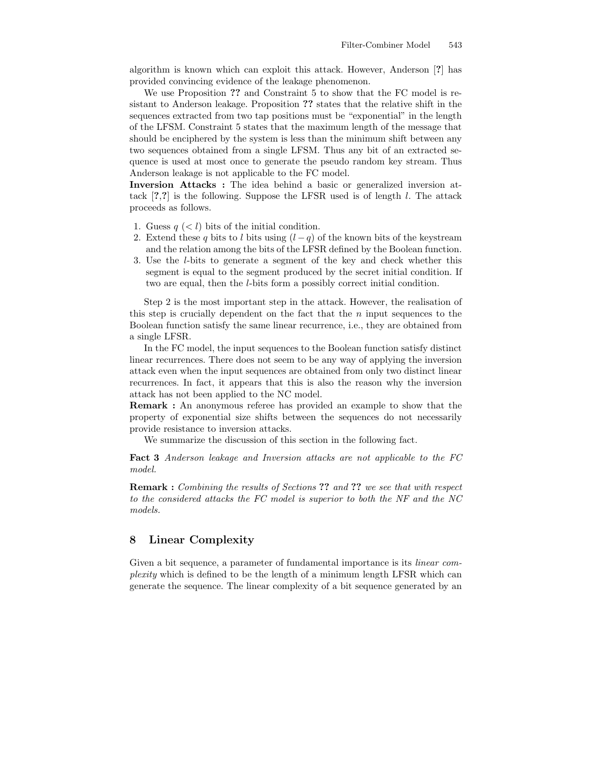algorithm is known which can exploit this attack. However, Anderson [?] has provided convincing evidence of the leakage phenomenon.

We use Proposition ?? and Constraint 5 to show that the FC model is resistant to Anderson leakage. Proposition ?? states that the relative shift in the sequences extracted from two tap positions must be "exponential" in the length of the LFSM. Constraint 5 states that the maximum length of the message that should be enciphered by the system is less than the minimum shift between any two sequences obtained from a single LFSM. Thus any bit of an extracted sequence is used at most once to generate the pseudo random key stream. Thus Anderson leakage is not applicable to the FC model.

Inversion Attacks : The idea behind a basic or generalized inversion attack  $[?,?]$  is the following. Suppose the LFSR used is of length l. The attack proceeds as follows.

- 1. Guess  $q \leq l$  bits of the initial condition.
- 2. Extend these q bits to l bits using  $(l q)$  of the known bits of the keystream and the relation among the bits of the LFSR defined by the Boolean function.
- 3. Use the l-bits to generate a segment of the key and check whether this segment is equal to the segment produced by the secret initial condition. If two are equal, then the l-bits form a possibly correct initial condition.

Step 2 is the most important step in the attack. However, the realisation of this step is crucially dependent on the fact that the  $n$  input sequences to the Boolean function satisfy the same linear recurrence, i.e., they are obtained from a single LFSR.

In the FC model, the input sequences to the Boolean function satisfy distinct linear recurrences. There does not seem to be any way of applying the inversion attack even when the input sequences are obtained from only two distinct linear recurrences. In fact, it appears that this is also the reason why the inversion attack has not been applied to the NC model.

Remark : An anonymous referee has provided an example to show that the property of exponential size shifts between the sequences do not necessarily provide resistance to inversion attacks.

We summarize the discussion of this section in the following fact.

Fact 3 Anderson leakage and Inversion attacks are not applicable to the FC model.

Remark : Combining the results of Sections ?? and ?? we see that with respect to the considered attacks the FC model is superior to both the NF and the NC models.

# 8 Linear Complexity

Given a bit sequence, a parameter of fundamental importance is its *linear com*plexity which is defined to be the length of a minimum length LFSR which can generate the sequence. The linear complexity of a bit sequence generated by an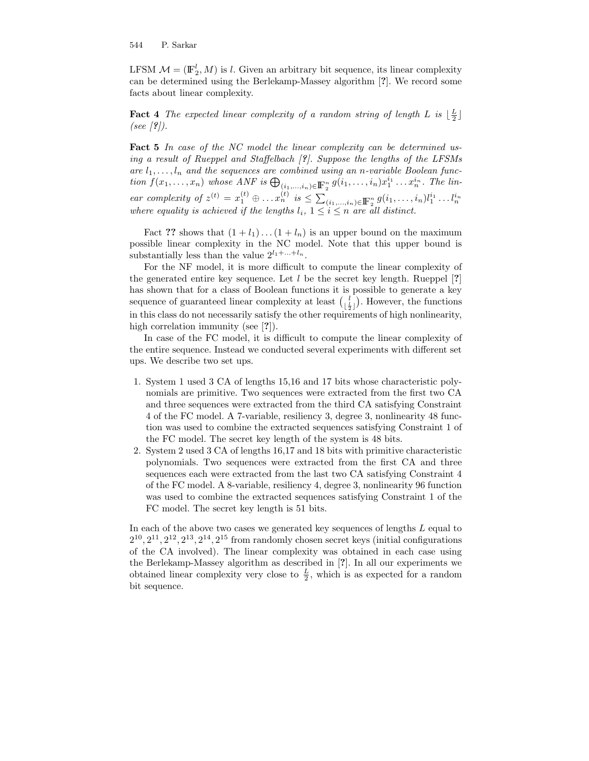LFSM  $\mathcal{M} = (\mathbb{F}_2^l, M)$  is l. Given an arbitrary bit sequence, its linear complexity can be determined using the Berlekamp-Massey algorithm [?]. We record some facts about linear complexity.

**Fact 4** The expected linear complexity of a random string of length L is  $\lfloor \frac{L}{2} \rfloor$ (see  $(?)$ ).

Fact 5 In case of the NC model the linear complexity can be determined using a result of Rueppel and Staffelbach [?]. Suppose the lengths of the LFSMs are  $l_1, \ldots, l_n$  and the sequences are combined using an n-variable Boolean function  $f(x_1,...,x_n)$  whose ANF is  $\bigoplus_{(i_1,...,i_n)\in\mathbb{F}_2^n} g(i_1,...,i_n)x_1^{i_1}...x_n^{i_n}$ . The linear complexity of  $z^{(t)} = x_1^{(t)} \oplus ... x_n^{(t)}$  is  $\leq \sum_{(i_1,...,i_n) \in \mathbb{F}_2^n} g(i_1,...,i_n) l_1^{i_1} ... l_n^{i_n}$ where equality is achieved if the lengths  $l_i$ ,  $1 \leq i \leq n$  are all distinct.

Fact ?? shows that  $(1 + l_1) \dots (1 + l_n)$  is an upper bound on the maximum possible linear complexity in the NC model. Note that this upper bound is substantially less than the value  $2^{l_1 + \ldots + l_n}$ .

For the NF model, it is more difficult to compute the linear complexity of the generated entire key sequence. Let  $l$  be the secret key length. Rueppel  $[?]$ has shown that for a class of Boolean functions it is possible to generate a key sequence of guaranteed linear complexity at least  $\left(\frac{l}{\frac{1}{2}}\right)$ . However, the functions in this class do not necessarily satisfy the other requirements of high nonlinearity, high correlation immunity (see [?]).

In case of the FC model, it is difficult to compute the linear complexity of the entire sequence. Instead we conducted several experiments with different set ups. We describe two set ups.

- 1. System 1 used 3 CA of lengths 15,16 and 17 bits whose characteristic polynomials are primitive. Two sequences were extracted from the first two CA and three sequences were extracted from the third CA satisfying Constraint 4 of the FC model. A 7-variable, resiliency 3, degree 3, nonlinearity 48 function was used to combine the extracted sequences satisfying Constraint 1 of the FC model. The secret key length of the system is 48 bits.
- 2. System 2 used 3 CA of lengths 16,17 and 18 bits with primitive characteristic polynomials. Two sequences were extracted from the first CA and three sequences each were extracted from the last two CA satisfying Constraint 4 of the FC model. A 8-variable, resiliency 4, degree 3, nonlinearity 96 function was used to combine the extracted sequences satisfying Constraint 1 of the FC model. The secret key length is 51 bits.

In each of the above two cases we generated key sequences of lengths  $L$  equal to  $2^{10}, 2^{11}, 2^{12}, 2^{13}, 2^{14}, 2^{15}$  from randomly chosen secret keys (initial configurations of the CA involved). The linear complexity was obtained in each case using the Berlekamp-Massey algorithm as described in [?]. In all our experiments we obtained linear complexity very close to  $\frac{L}{2}$ , which is as expected for a random bit sequence.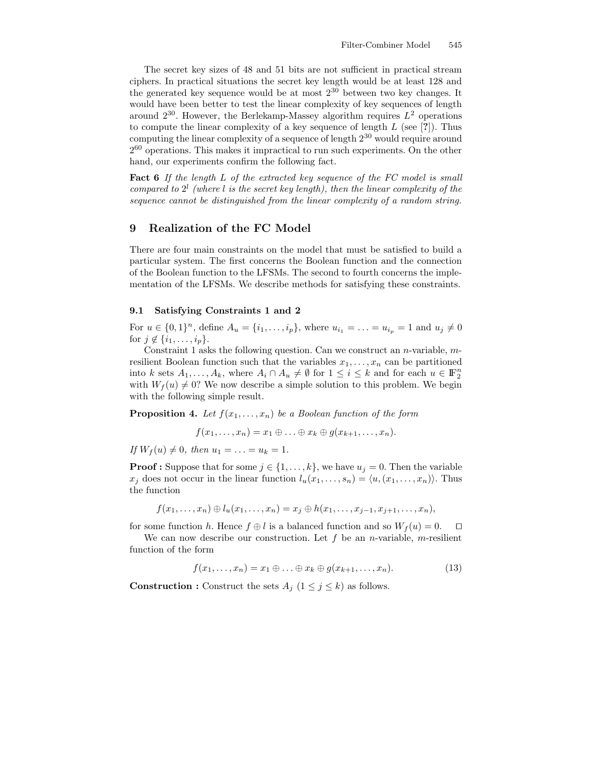The secret key sizes of 48 and 51 bits are not sufficient in practical stream ciphers. In practical situations the secret key length would be at least 128 and the generated key sequence would be at most 2 <sup>30</sup> between two key changes. It would have been better to test the linear complexity of key sequences of length around  $2^{30}$ . However, the Berlekamp-Massey algorithm requires  $L^2$  operations to compute the linear complexity of a key sequence of length  $L$  (see [?]). Thus computing the linear complexity of a sequence of length  $2^{30}$  would require around 2<sup>60</sup> operations. This makes it impractical to run such experiments. On the other hand, our experiments confirm the following fact.

Fact 6 If the length L of the extracted key sequence of the FC model is small compared to  $2^l$  (where l is the secret key length), then the linear complexity of the sequence cannot be distinguished from the linear complexity of a random string.

## 9 Realization of the FC Model

There are four main constraints on the model that must be satisfied to build a particular system. The first concerns the Boolean function and the connection of the Boolean function to the LFSMs. The second to fourth concerns the implementation of the LFSMs. We describe methods for satisfying these constraints.

#### 9.1 Satisfying Constraints 1 and 2

For  $u \in \{0,1\}^n$ , define  $A_u = \{i_1, \ldots, i_p\}$ , where  $u_{i_1} = \ldots = u_{i_p} = 1$  and  $u_j \neq 0$ for  $j \notin \{i_1, \ldots, i_p\}$ .

Constraint 1 asks the following question. Can we construct an *n*-variable,  $m$ resilient Boolean function such that the variables  $x_1, \ldots, x_n$  can be partitioned into k sets  $A_1, \ldots, A_k$ , where  $A_i \cap A_u \neq \emptyset$  for  $1 \leq i \leq k$  and for each  $u \in \mathbb{F}_2^n$ with  $W_f(u) \neq 0$ ? We now describe a simple solution to this problem. We begin with the following simple result.

**Proposition 4.** Let  $f(x_1, \ldots, x_n)$  be a Boolean function of the form

$$
f(x_1,\ldots,x_n)=x_1\oplus\ldots\oplus x_k\oplus g(x_{k+1},\ldots,x_n).
$$

If  $W_f(u) \neq 0$ , then  $u_1 = \ldots = u_k = 1$ .

**Proof :** Suppose that for some  $j \in \{1, \ldots, k\}$ , we have  $u_j = 0$ . Then the variable  $x_j$  does not occur in the linear function  $l_u(x_1, \ldots, s_n) = \langle u, (x_1, \ldots, x_n) \rangle$ . Thus the function

$$
f(x_1,\ldots,x_n)\oplus l_u(x_1,\ldots,x_n)=x_j\oplus h(x_1,\ldots,x_{j-1},x_{j+1},\ldots,x_n),
$$

for some function h. Hence  $f \oplus l$  is a balanced function and so  $W_f(u) = 0$ .  $\Box$ 

We can now describe our construction. Let  $f$  be an *n*-variable, *m*-resilient function of the form

$$
f(x_1, \ldots, x_n) = x_1 \oplus \ldots \oplus x_k \oplus g(x_{k+1}, \ldots, x_n). \tag{13}
$$

**Construction :** Construct the sets  $A_j$  ( $1 \leq j \leq k$ ) as follows.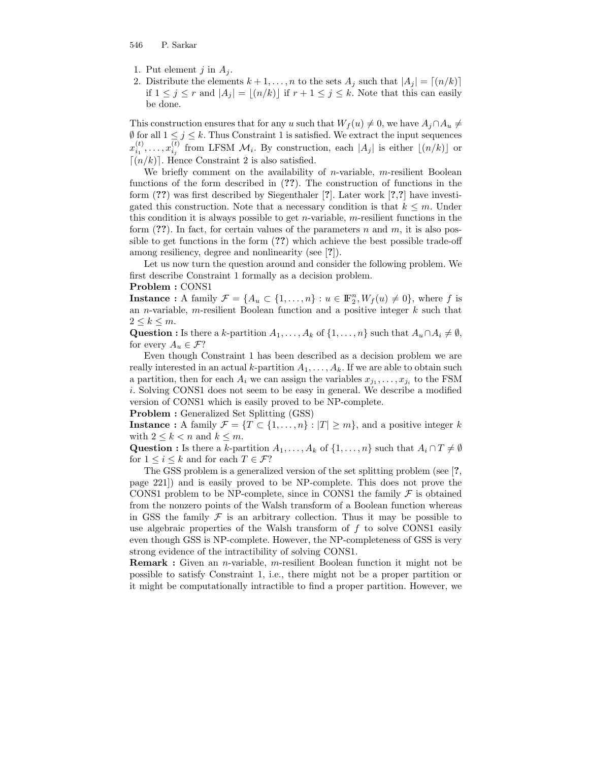- 1. Put element  $j$  in  $A_i$ .
- 2. Distribute the elements  $k + 1, \ldots, n$  to the sets  $A_j$  such that  $|A_j| = [(n/k)]$ if  $1 \leq j \leq r$  and  $|A_j| = \lfloor (n/k) \rfloor$  if  $r + 1 \leq j \leq k$ . Note that this can easily be done.

This construction ensures that for any u such that  $W_f(u) \neq 0$ , we have  $A_i \cap A_u \neq 0$  $\emptyset$  for all  $1 \leq j \leq k$ . Thus Constraint 1 is satisfied. We extract the input sequences  $x_{i_1}^{(t)}, \ldots, x_{i_j}^{(t)}$  from LFSM  $\mathcal{M}_i$ . By construction, each  $|A_j|$  is either  $\lfloor (n/k) \rfloor$  or  $(n/k)$ . Hence Constraint 2 is also satisfied.

We briefly comment on the availability of *n*-variable, *m*-resilient Boolean functions of the form described in (??). The construction of functions in the form (??) was first described by Siegenthaler [?]. Later work [?,?] have investigated this construction. Note that a necessary condition is that  $k \leq m$ . Under this condition it is always possible to get  $n$ -variable, m-resilient functions in the form  $(?)$ . In fact, for certain values of the parameters n and m, it is also possible to get functions in the form (??) which achieve the best possible trade-off among resiliency, degree and nonlinearity (see [?]).

Let us now turn the question around and consider the following problem. We first describe Constraint 1 formally as a decision problem.

#### Problem : CONS1

**Instance**: A family  $\mathcal{F} = \{A_u \subset \{1, ..., n\} : u \in \mathbb{F}_2^n, W_f(u) \neq 0\}$ , where f is an *n*-variable, *m*-resilient Boolean function and a positive integer  $k$  such that  $2 \leq k \leq m$ .

Question : Is there a k-partition  $A_1, \ldots, A_k$  of  $\{1, \ldots, n\}$  such that  $A_u \cap A_i \neq \emptyset$ , for every  $A_u \in \mathcal{F}$ ?

Even though Constraint 1 has been described as a decision problem we are really interested in an actual k-partition  $A_1, \ldots, A_k$ . If we are able to obtain such a partition, then for each  $A_i$  we can assign the variables  $x_{j_1}, \ldots, x_{j_i}$  to the FSM i. Solving CONS1 does not seem to be easy in general. We describe a modified version of CONS1 which is easily proved to be NP-complete.

Problem : Generalized Set Splitting (GSS)

**Instance** : A family  $\mathcal{F} = \{T \subset \{1, ..., n\} : |T| \geq m\}$ , and a positive integer k with  $2 \leq k \leq n$  and  $k \leq m$ .

Question : Is there a k-partition  $A_1, \ldots, A_k$  of  $\{1, \ldots, n\}$  such that  $A_i \cap T \neq \emptyset$ for  $1 \leq i \leq k$  and for each  $T \in \mathcal{F}$ ?

The GSS problem is a generalized version of the set splitting problem (see [?, page 221]) and is easily proved to be NP-complete. This does not prove the CONS1 problem to be NP-complete, since in CONS1 the family  $\mathcal F$  is obtained from the nonzero points of the Walsh transform of a Boolean function whereas in GSS the family  $\mathcal F$  is an arbitrary collection. Thus it may be possible to use algebraic properties of the Walsh transform of  $f$  to solve CONS1 easily even though GSS is NP-complete. However, the NP-completeness of GSS is very strong evidence of the intractibility of solving CONS1.

Remark : Given an n-variable, m-resilient Boolean function it might not be possible to satisfy Constraint 1, i.e., there might not be a proper partition or it might be computationally intractible to find a proper partition. However, we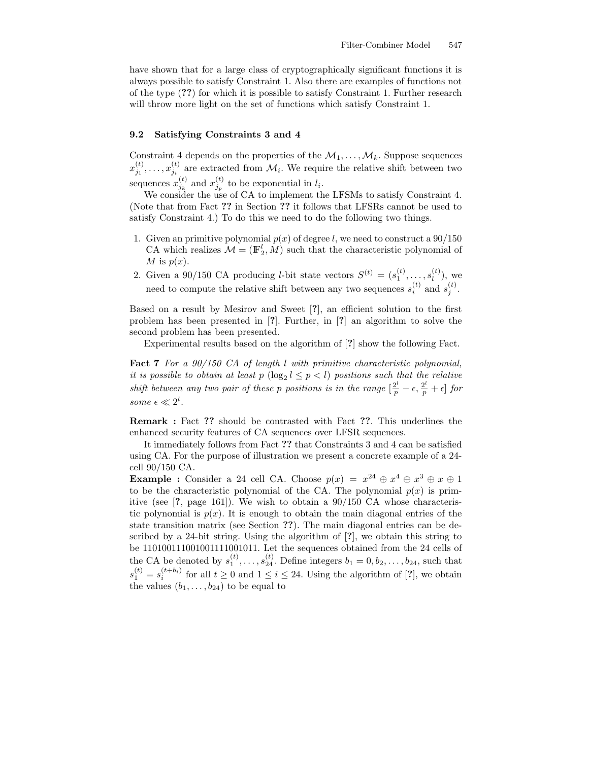have shown that for a large class of cryptographically significant functions it is always possible to satisfy Constraint 1. Also there are examples of functions not of the type (??) for which it is possible to satisfy Constraint 1. Further research will throw more light on the set of functions which satisfy Constraint 1.

#### 9.2 Satisfying Constraints 3 and 4

Constraint 4 depends on the properties of the  $\mathcal{M}_1, \ldots, \mathcal{M}_k$ . Suppose sequences  $x_{j_1}^{(t)}, \ldots, x_{j_i}^{(t)}$  are extracted from  $\mathcal{M}_i$ . We require the relative shift between two sequences  $x_{j_k}^{(t)}$  and  $x_{j_p}^{(t)}$  to be exponential in  $l_i$ .

We consider the use of CA to implement the LFSMs to satisfy Constraint 4. (Note that from Fact ?? in Section ?? it follows that LFSRs cannot be used to satisfy Constraint 4.) To do this we need to do the following two things.

- 1. Given an primitive polynomial  $p(x)$  of degree l, we need to construct a 90/150 CA which realizes  $\mathcal{M} = (\mathbb{F}_2^l, M)$  such that the characteristic polynomial of M is  $p(x)$ .
- 2. Given a 90/150 CA producing *l*-bit state vectors  $S^{(t)} = (s_1^{(t)}, \ldots, s_l^{(t)})$  $\binom{l}{l}$ , we need to compute the relative shift between any two sequences  $s_i^{(t)}$  and  $s_j^{(t)}$ .

Based on a result by Mesirov and Sweet [?], an efficient solution to the first problem has been presented in [?]. Further, in [?] an algorithm to solve the second problem has been presented.

Experimental results based on the algorithm of [?] show the following Fact.

Fact 7 For a 90/150 CA of length l with primitive characteristic polynomial, it is possible to obtain at least  $p(\log_2 l \leq p < l)$  positions such that the relative shift between any two pair of these p positions is in the range  $\left[\frac{2^l}{p} - \epsilon, \frac{2^l}{p} + \epsilon\right]$  for some  $\epsilon \ll 2^l$ .

Remark : Fact ?? should be contrasted with Fact ??. This underlines the enhanced security features of CA sequences over LFSR sequences.

It immediately follows from Fact ?? that Constraints 3 and 4 can be satisfied using CA. For the purpose of illustration we present a concrete example of a 24 cell 90/150 CA.

**Example :** Consider a 24 cell CA. Choose  $p(x) = x^{24} \oplus x^4 \oplus x^3 \oplus x \oplus 1$ to be the characteristic polynomial of the CA. The polynomial  $p(x)$  is primitive (see [?, page 161]). We wish to obtain a 90/150 CA whose characteristic polynomial is  $p(x)$ . It is enough to obtain the main diagonal entries of the state transition matrix (see Section ??). The main diagonal entries can be described by a 24-bit string. Using the algorithm of [?], we obtain this string to be 110100111001001111001011. Let the sequences obtained from the 24 cells of the CA be denoted by  $s_1^{(t)}, \ldots, s_{24}^{(t)}$ . Define integers  $b_1 = 0, b_2, \ldots, b_{24}$ , such that  $s_1^{(t)} = s_i^{(t+b_i)}$  for all  $t \geq 0$  and  $1 \leq i \leq 24$ . Using the algorithm of [?], we obtain the values  $(b_1, \ldots, b_{24})$  to be equal to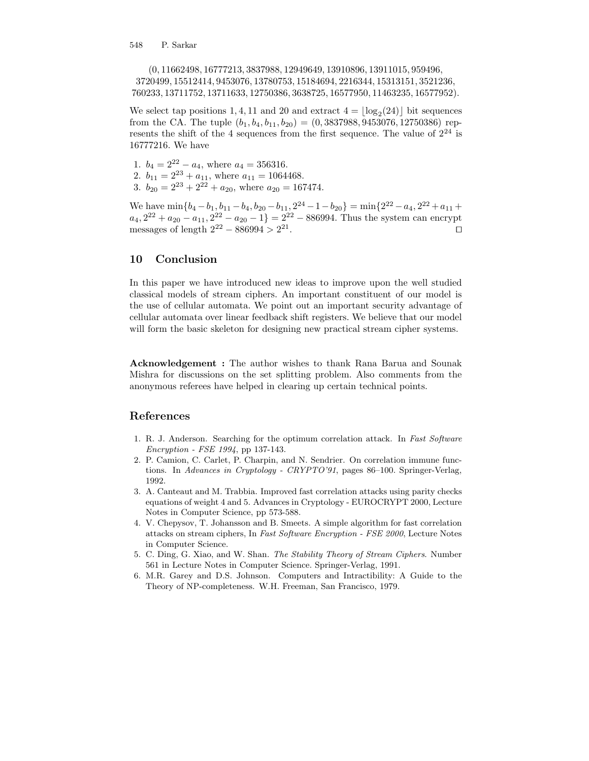(0, 11662498, 16777213, 3837988, 12949649, 13910896, 13911015, 959496, 3720499, 15512414, 9453076, 13780753, 15184694, 2216344, 15313151, 3521236, 760233, 13711752, 13711633, 12750386, 3638725, 16577950, 11463235, 16577952).

We select tap positions 1, 4, 11 and 20 and extract  $4 = \lfloor \log_2(24) \rfloor$  bit sequences from the CA. The tuple  $(b_1, b_4, b_{11}, b_{20}) = (0, 3837988, 9453076, 12750386)$  represents the shift of the 4 sequences from the first sequence. The value of  $2^{24}$  is 16777216. We have

1.  $b_4 = 2^{22} - a_4$ , where  $a_4 = 356316$ .

- 2.  $b_{11} = 2^{23} + a_{11}$ , where  $a_{11} = 1064468$ .
- 3.  $b_{20} = 2^{23} + 2^{22} + a_{20}$ , where  $a_{20} = 167474$ .

We have  $\min\{b_4 - b_1, b_{11} - b_4, b_{20} - b_{11}, 2^{24} - 1 - b_{20}\} = \min\{2^{22} - a_4, 2^{22} + a_{11} + b_4, b_{20} - b_{11}\}$  $a_4, 2^{22} + a_{20} - a_{11}, 2^{22} - a_{20} - 1$  =  $2^{22} - 886994$ . Thus the system can encrypt messages of length  $2^{22} - 886994 > 2^{21}$ . The contract of the contract of  $\Box$ 

# 10 Conclusion

In this paper we have introduced new ideas to improve upon the well studied classical models of stream ciphers. An important constituent of our model is the use of cellular automata. We point out an important security advantage of cellular automata over linear feedback shift registers. We believe that our model will form the basic skeleton for designing new practical stream cipher systems.

Acknowledgement : The author wishes to thank Rana Barua and Sounak Mishra for discussions on the set splitting problem. Also comments from the anonymous referees have helped in clearing up certain technical points.

# References

- 1. R. J. Anderson. Searching for the optimum correlation attack. In Fast Software Encryption - FSE 1994, pp 137-143.
- 2. P. Camion, C. Carlet, P. Charpin, and N. Sendrier. On correlation immune functions. In Advances in Cryptology - CRYPTO'91, pages 86-100. Springer-Verlag, 1992.
- 3. A. Canteaut and M. Trabbia. Improved fast correlation attacks using parity checks equations of weight 4 and 5. Advances in Cryptology - EUROCRYPT 2000, Lecture Notes in Computer Science, pp 573-588.
- 4. V. Chepysov, T. Johansson and B. Smeets. A simple algorithm for fast correlation attacks on stream ciphers, In Fast Software Encryption - FSE 2000, Lecture Notes in Computer Science.
- 5. C. Ding, G. Xiao, and W. Shan. The Stability Theory of Stream Ciphers. Number 561 in Lecture Notes in Computer Science. Springer-Verlag, 1991.
- 6. M.R. Garey and D.S. Johnson. Computers and Intractibility: A Guide to the Theory of NP-completeness. W.H. Freeman, San Francisco, 1979.